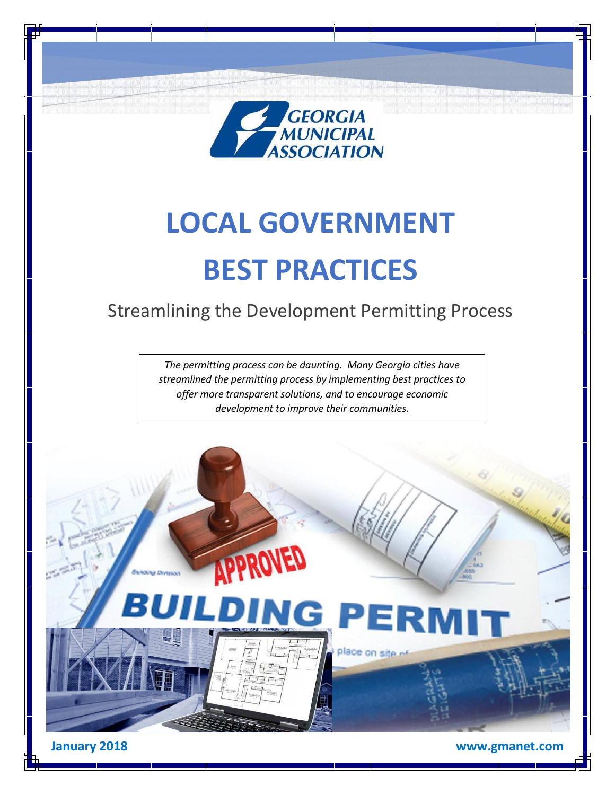

# **LOCAL GOVERNMENT BEST PRACTICES**

# Streamlining the Development Permitting Process

*The permitting process can be daunting. Many Georgia cities have streamlined the permitting process by implementing best practices to offer more transparent solutions, and to encourage economic development to improve their communities.*

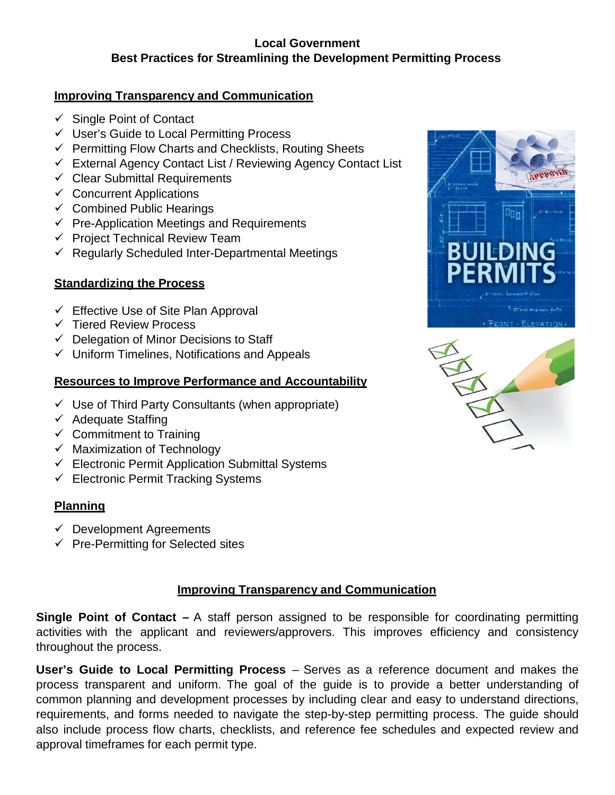#### **Local Government Best Practices for Streamlining the Development Permitting Process**

#### **Improving Transparency and Communication**

- $\checkmark$  Single Point of Contact
- User's Guide to Local Permitting Process
- $\checkmark$  Permitting Flow Charts and Checklists, Routing Sheets
- $\checkmark$  External Agency Contact List / Reviewing Agency Contact List
- $\checkmark$  Clear Submittal Requirements
- $\checkmark$  Concurrent Applications
- $\checkmark$  Combined Public Hearings
- $\checkmark$  Pre-Application Meetings and Requirements
- $\checkmark$  Project Technical Review Team
- $\checkmark$  Regularly Scheduled Inter-Departmental Meetings

# **Standardizing the Process**

- $\checkmark$  Effective Use of Site Plan Approval
- $\checkmark$  Tiered Review Process
- $\checkmark$  Delegation of Minor Decisions to Staff
- $\checkmark$  Uniform Timelines, Notifications and Appeals

#### **Resources to Improve Performance and Accountability**

- $\checkmark$  Use of Third Party Consultants (when appropriate)
- $\checkmark$  Adequate Staffing
- $\checkmark$  Commitment to Training
- $\checkmark$  Maximization of Technology
- $\checkmark$  Electronic Permit Application Submittal Systems
- $\checkmark$  Electronic Permit Tracking Systems

# **Planning**

- $\checkmark$  Development Agreements
- $\checkmark$  Pre-Permitting for Selected sites

# **Improving Transparency and Communication**

**Single Point of Contact –** A staff person assigned to be responsible for coordinating permitting activities with the applicant and reviewers/approvers. This improves efficiency and consistency throughout the process.

**User's Guide to Local Permitting Process** – Serves as a reference document and makes the process transparent and uniform. The goal of the guide is to provide a better understanding of common planning and development processes by including clear and easy to understand directions, requirements, and forms needed to navigate the step-by-step permitting process. The guide should also include process flow charts, checklists, and reference fee schedules and expected review and approval timeframes for each permit type.



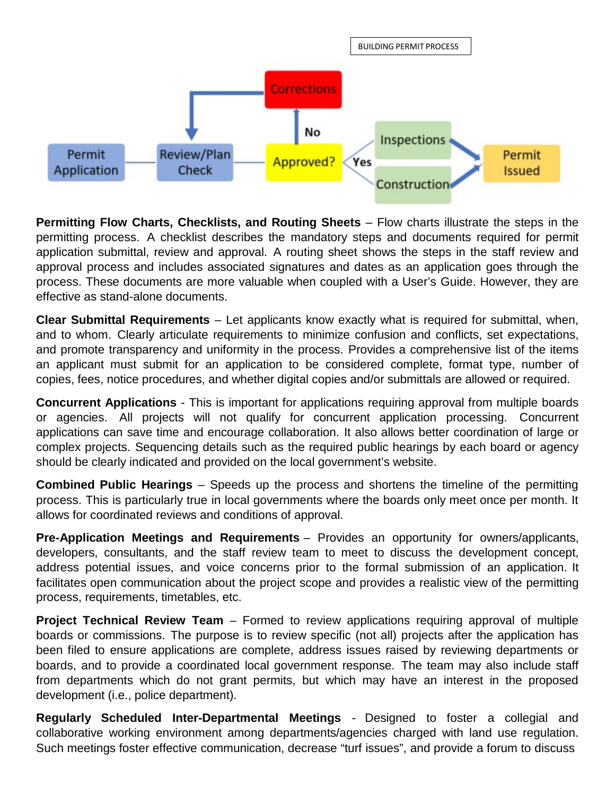

**Permitting Flow Charts, Checklists, and Routing Sheets** – Flow charts illustrate the steps in the permitting process. A checklist describes the mandatory steps and documents required for permit application submittal, review and approval. A routing sheet shows the steps in the staff review and approval process and includes associated signatures and dates as an application goes through the process. These documents are more valuable when coupled with a User's Guide. However, they are effective as stand-alone documents.

**Clear Submittal Requirements** – Let applicants know exactly what is required for submittal, when, and to whom. Clearly articulate requirements to minimize confusion and conflicts, set expectations, and promote transparency and uniformity in the process. Provides a comprehensive list of the items an applicant must submit for an application to be considered complete, format type, number of copies, fees, notice procedures, and whether digital copies and/or submittals are allowed or required.

**Concurrent Applications** - This is important for applications requiring approval from multiple boards or agencies. All projects will not qualify for concurrent application processing. Concurrent applications can save time and encourage collaboration. It also allows better coordination of large or complex projects. Sequencing details such as the required public hearings by each board or agency should be clearly indicated and provided on the local government's website.

**Combined Public Hearings** – Speeds up the process and shortens the timeline of the permitting process. This is particularly true in local governments where the boards only meet once per month. It allows for coordinated reviews and conditions of approval.

**Pre-Application Meetings and Requirements** – Provides an opportunity for owners/applicants, developers, consultants, and the staff review team to meet to discuss the development concept, address potential issues, and voice concerns prior to the formal submission of an application. It facilitates open communication about the project scope and provides a realistic view of the permitting process, requirements, timetables, etc.

**Project Technical Review Team** – Formed to review applications requiring approval of multiple boards or commissions. The purpose is to review specific (not all) projects after the application has been filed to ensure applications are complete, address issues raised by reviewing departments or boards, and to provide a coordinated local government response. The team may also include staff from departments which do not grant permits, but which may have an interest in the proposed development (i.e., police department).

**Regularly Scheduled Inter-Departmental Meetings** - Designed to foster a collegial and collaborative working environment among departments/agencies charged with land use regulation. Such meetings foster effective communication, decrease "turf issues", and provide a forum to discuss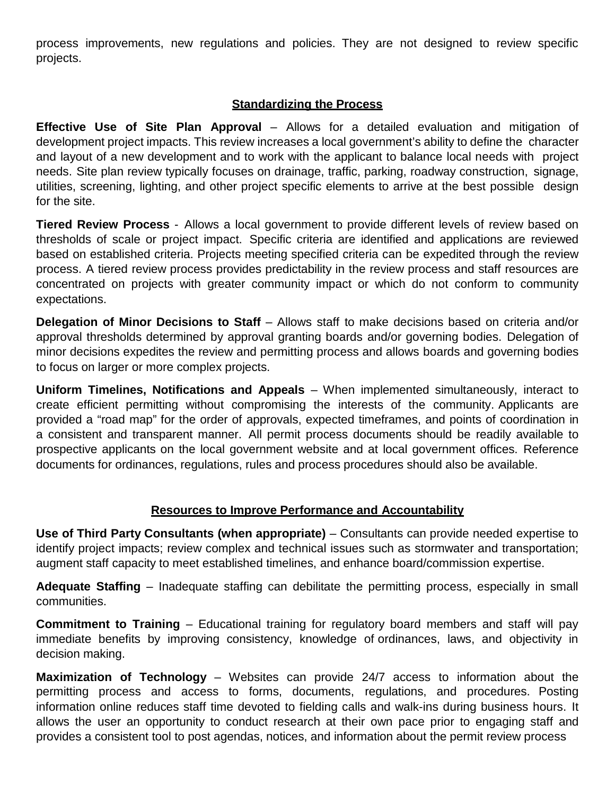process improvements, new regulations and policies. They are not designed to review specific projects.

#### **Standardizing the Process**

**Effective Use of Site Plan Approval** – Allows for a detailed evaluation and mitigation of development project impacts. This review increases a local government's ability to define the character and layout of a new development and to work with the applicant to balance local needs with project needs. Site plan review typically focuses on drainage, traffic, parking, roadway construction, signage, utilities, screening, lighting, and other project specific elements to arrive at the best possible design for the site.

**Tiered Review Process** - Allows a local government to provide different levels of review based on thresholds of scale or project impact. Specific criteria are identified and applications are reviewed based on established criteria. Projects meeting specified criteria can be expedited through the review process. A tiered review process provides predictability in the review process and staff resources are concentrated on projects with greater community impact or which do not conform to community expectations.

**Delegation of Minor Decisions to Staff** – Allows staff to make decisions based on criteria and/or approval thresholds determined by approval granting boards and/or governing bodies. Delegation of minor decisions expedites the review and permitting process and allows boards and governing bodies to focus on larger or more complex projects.

**Uniform Timelines, Notifications and Appeals** – When implemented simultaneously, interact to create efficient permitting without compromising the interests of the community. Applicants are provided a "road map" for the order of approvals, expected timeframes, and points of coordination in a consistent and transparent manner. All permit process documents should be readily available to prospective applicants on the local government website and at local government offices. Reference documents for ordinances, regulations, rules and process procedures should also be available.

#### **Resources to Improve Performance and Accountability**

**Use of Third Party Consultants (when appropriate)** – Consultants can provide needed expertise to identify project impacts; review complex and technical issues such as stormwater and transportation; augment staff capacity to meet established timelines, and enhance board/commission expertise.

**Adequate Staffing** – Inadequate staffing can debilitate the permitting process, especially in small communities.

**Commitment to Training** – Educational training for regulatory board members and staff will pay immediate benefits by improving consistency, knowledge of ordinances, laws, and objectivity in decision making.

**Maximization of Technology** – Websites can provide 24/7 access to information about the permitting process and access to forms, documents, regulations, and procedures. Posting information online reduces staff time devoted to fielding calls and walk-ins during business hours. It allows the user an opportunity to conduct research at their own pace prior to engaging staff and provides a consistent tool to post agendas, notices, and information about the permit review process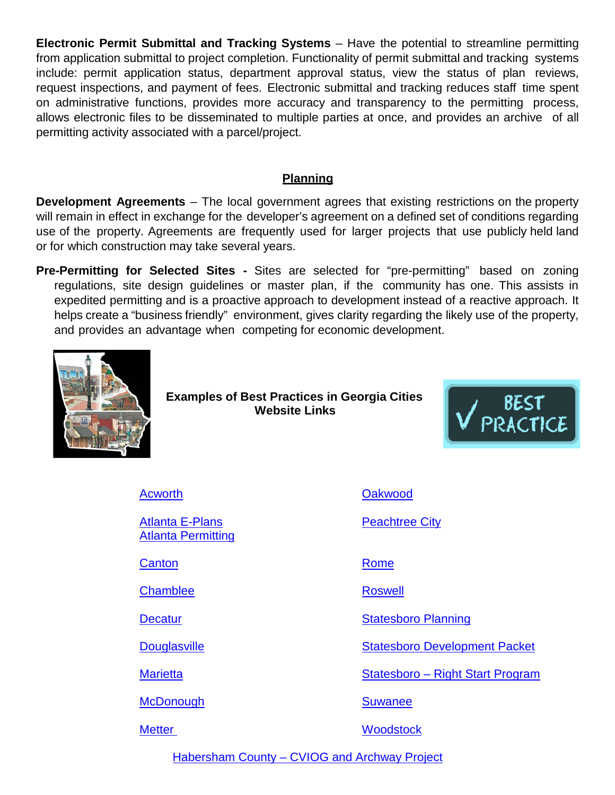**Electronic Permit Submittal and Tracking Systems** – Have the potential to streamline permitting from application submittal to project completion. Functionality of permit submittal and tracking systems include: permit application status, department approval status, view the status of plan reviews, request inspections, and payment of fees. Electronic submittal and tracking reduces staff time spent on administrative functions, provides more accuracy and transparency to the permitting process, allows electronic files to be disseminated to multiple parties at once, and provides an archive of all permitting activity associated with a parcel/project.

#### **Planning**

**Development Agreements** – The local government agrees that existing restrictions on the property will remain in effect in exchange for the developer's agreement on a defined set of conditions regarding use of the property. Agreements are frequently used for larger projects that use publicly held land or for which construction may take several years.

**Pre-Permitting for Selected Sites -** Sites are selected for "pre-permitting" based on zoning regulations, site design guidelines or master plan, if the community has one. This assists in expedited permitting and is a proactive approach to development instead of a reactive approach. It helps create a "business friendly" environment, gives clarity regarding the likely use of the property, and provides an advantage when competing for economic development.



**Examples of Best Practices in Georgia Cities Website Links**



[Acworth](http://www.acworth.org/business/permits_applications_and_ordinances/index.php#revize_document_center_rz57)

[Atlanta E-Plans](https://www.atlantaga.gov/government/departments/planning-community-development/eplans) [Atlanta Permitting](https://www.atlantaga.gov/government/departments/planning-community-development/office-of-buildings)

**[Canton](http://www.cantonga.gov/howdoi/apply/permits_licenses_n_regulations.htm)** 

**[Chamblee](http://www.chambleega.com/152/Applications-Forms-Documents)** 

**[Decatur](http://www.decaturga.com/city-government/city-departments/design-environment-and-construction/how-to-obtain-a-permit)** 

**[Douglasville](http://www.ci.douglasville.ga.us/65/Building-Department)** 

**[Marietta](http://www.mariettaga.gov/400/Permits)** 

**[McDonough](http://www.mcdonoughga.org/city-departments-services/community-development/permits-applications-and-fees)** 

**[Metter](http://metter-candler.com/better-community-city-building-zoning.php)** 

[Oakwood](http://www.cityofoakwood.net/Applications-Permits.aspx)

[Peachtree City](http://www.peachtree-city.org/index.aspx?nid=287)

[Rome](http://www.romefloyd.com/departments/building-inspection)

[Roswell](http://www.roswellgov.com/government/departments/community-development/engineering)

[Statesboro](http://www.statesboroga.gov/planning-development/) Planning

[Statesboro Development Packet](http://www.statesboroga.gov/wp-content/uploads/2015/10/Dev-Packet-Updated-4-21-2017.pdf)

Statesboro – [Right Start Program](http://www.gmanet.com/Advice-Knowledge/Articles-and-Resources/Statesboro-s-Right-Start-Program.aspx)

[Suwanee](http://www.suwanee.com/businessmatters.developmentinformation.php)

**[Woodstock](http://www.woodstockga.gov/74/Building-Code-Enforcement)** 

Habersham County – [CVIOG and Archway Project](https://www.habershamga.com/files/News6198_Habersham%20Permitting%20Guide%20FINAL.pdf)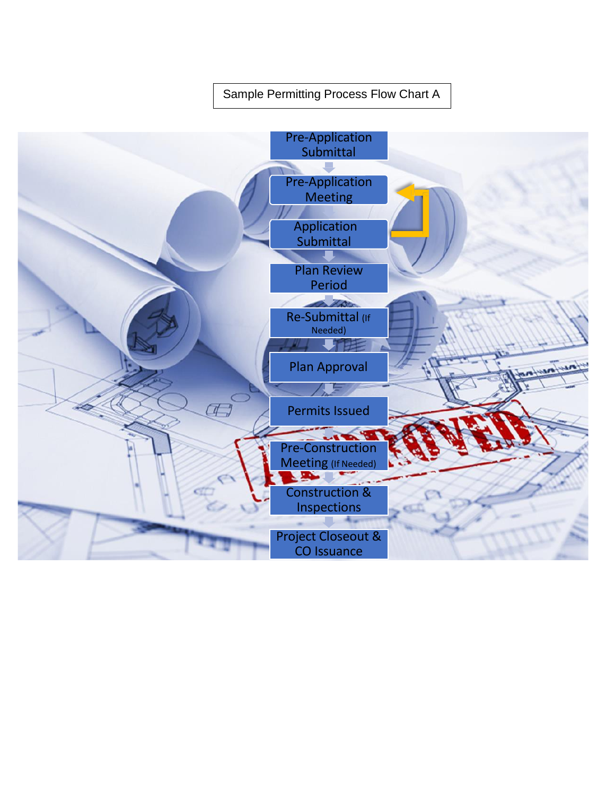#### Sample [Permitting](https://www.habershamga.com/files/News6198_Habersham%20Permitting%20Guide%20FINAL.pdf) Process Flow Chart A

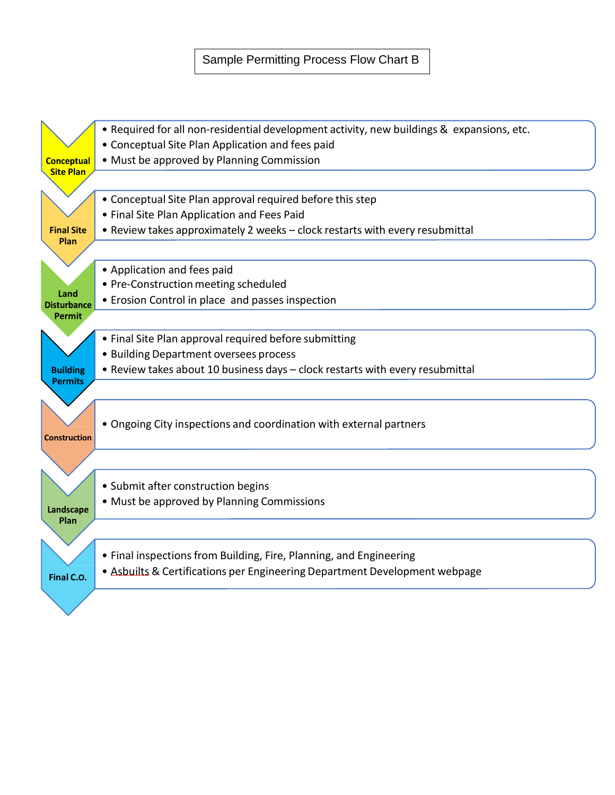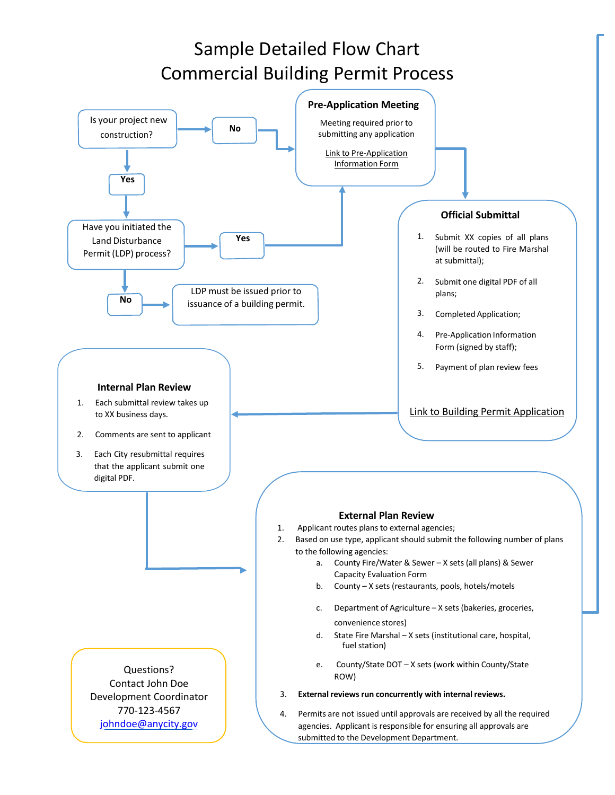